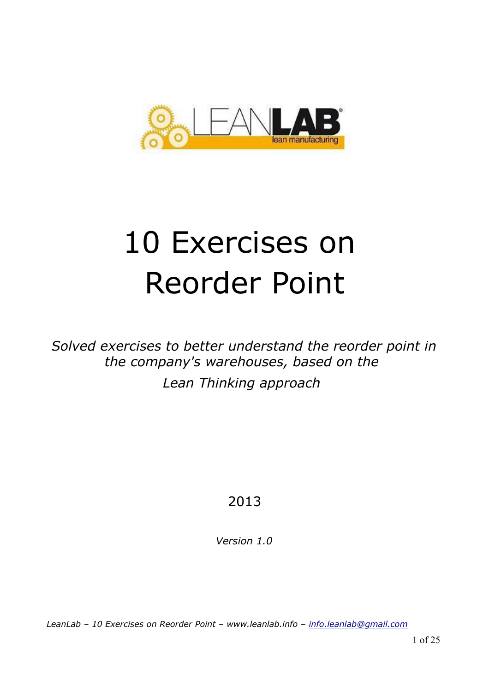

# 10 Exercises on Reorder Point

*Solved exercises to better understand the reorder point in the company's warehouses, based on the Lean Thinking approach* 

# 2013

*Version 1.0*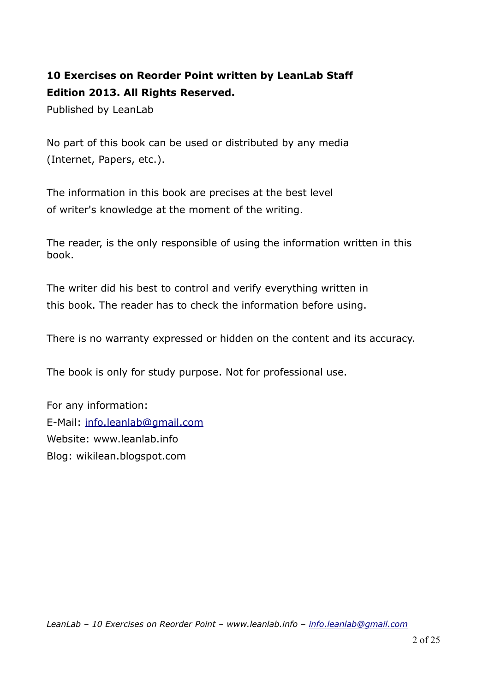# **10 Exercises on Reorder Point written by LeanLab Staff Edition 2013. All Rights Reserved.**

Published by LeanLab

No part of this book can be used or distributed by any media (Internet, Papers, etc.).

The information in this book are precises at the best level of writer's knowledge at the moment of the writing.

The reader, is the only responsible of using the information written in this book.

The writer did his best to control and verify everything written in this book. The reader has to check the information before using.

There is no warranty expressed or hidden on the content and its accuracy.

The book is only for study purpose. Not for professional use.

For any information: E-Mail: [info.leanlab@gmail.com](mailto:info.leanlab@gmail.com) Website: www.leanlab.info Blog: wikilean.blogspot.com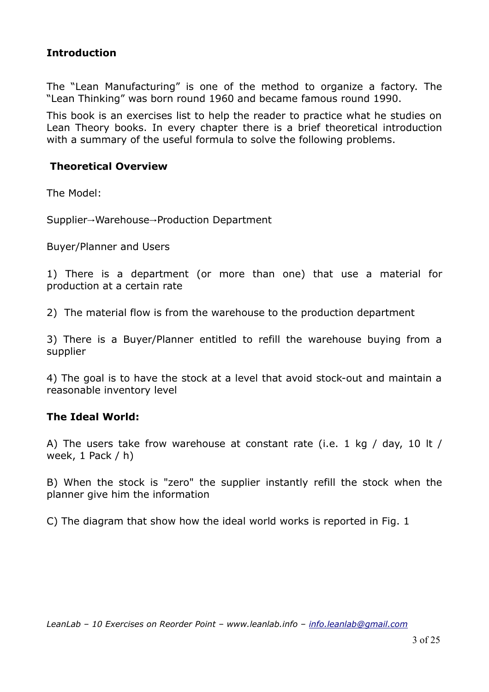# **Introduction**

The "Lean Manufacturing" is one of the method to organize a factory. The "Lean Thinking" was born round 1960 and became famous round 1990.

This book is an exercises list to help the reader to practice what he studies on Lean Theory books. In every chapter there is a brief theoretical introduction with a summary of the useful formula to solve the following problems.

#### **Theoretical Overview**

The Model:

Supplier→Warehouse→Production Department

Buyer/Planner and Users

1) There is a department (or more than one) that use a material for production at a certain rate

2) The material flow is from the warehouse to the production department

3) There is a Buyer/Planner entitled to refill the warehouse buying from a supplier

4) The goal is to have the stock at a level that avoid stock-out and maintain a reasonable inventory level

# **The Ideal World:**

A) The users take frow warehouse at constant rate (i.e. 1 kg / day, 10 lt / week, 1 Pack / h)

B) When the stock is "zero" the supplier instantly refill the stock when the planner give him the information

C) The diagram that show how the ideal world works is reported in Fig. 1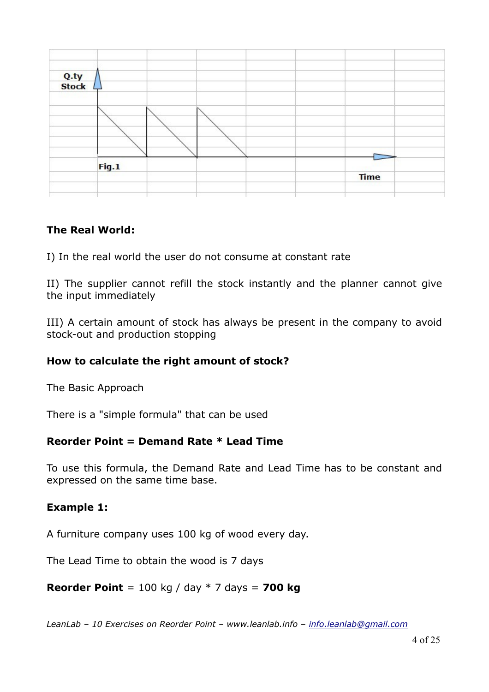

# **The Real World:**

I) In the real world the user do not consume at constant rate

II) The supplier cannot refill the stock instantly and the planner cannot give the input immediately

III) A certain amount of stock has always be present in the company to avoid stock-out and production stopping

#### **How to calculate the right amount of stock?**

The Basic Approach

There is a "simple formula" that can be used

#### **Reorder Point = Demand Rate \* Lead Time**

To use this formula, the Demand Rate and Lead Time has to be constant and expressed on the same time base.

#### **Example 1:**

A furniture company uses 100 kg of wood every day.

The Lead Time to obtain the wood is 7 days

**Reorder Point** = 100 kg / day \* 7 days = **700 kg**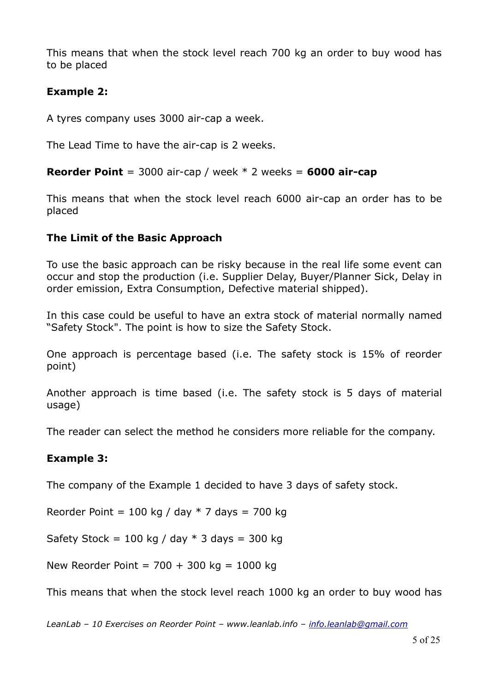This means that when the stock level reach 700 kg an order to buy wood has to be placed

#### **Example 2:**

A tyres company uses 3000 air-cap a week.

The Lead Time to have the air-cap is 2 weeks.

**Reorder Point** = 3000 air-cap / week \* 2 weeks = **6000 air-cap**

This means that when the stock level reach 6000 air-cap an order has to be placed

#### **The Limit of the Basic Approach**

To use the basic approach can be risky because in the real life some event can occur and stop the production (i.e. Supplier Delay, Buyer/Planner Sick, Delay in order emission, Extra Consumption, Defective material shipped).

In this case could be useful to have an extra stock of material normally named "Safety Stock". The point is how to size the Safety Stock.

One approach is percentage based (i.e. The safety stock is 15% of reorder point)

Another approach is time based (i.e. The safety stock is 5 days of material usage)

The reader can select the method he considers more reliable for the company.

# **Example 3:**

The company of the Example 1 decided to have 3 days of safety stock.

Reorder Point = 100 kg / day  $*$  7 days = 700 kg

Safety Stock = 100 kg / day  $*$  3 days = 300 kg

New Reorder Point =  $700 + 300$  kg = 1000 kg

This means that when the stock level reach 1000 kg an order to buy wood has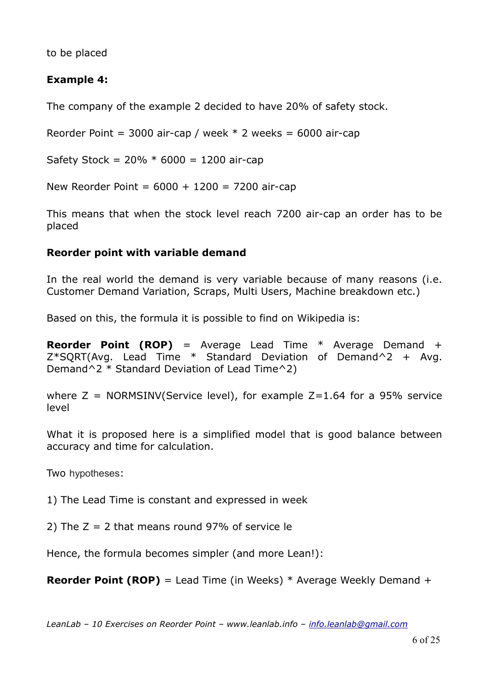to be placed

# **Example 4:**

The company of the example 2 decided to have 20% of safety stock.

Reorder Point = 3000 air-cap / week  $*$  2 weeks = 6000 air-cap

Safety Stock =  $20\% * 6000 = 1200$  air-cap

New Reorder Point =  $6000 + 1200 = 7200$  air-cap

This means that when the stock level reach 7200 air-cap an order has to be placed

#### **Reorder point with variable demand**

In the real world the demand is very variable because of many reasons (i.e. Customer Demand Variation, Scraps, Multi Users, Machine breakdown etc.)

Based on this, the formula it is possible to find on Wikipedia is:

**Reorder Point (ROP)** = Average Lead Time \* Average Demand +  $Z*SORT(Avq.$  Lead Time  $*$  Standard Deviation of Demand<sup> $\wedge$ 2 + Avg.</sup> Demand<sup> $\wedge$ 2 \* Standard Deviation of Lead Time $\wedge$ 2)</sup>

where  $Z = NORMSINV(Service level)$ , for example  $Z=1.64$  for a 95% service level

What it is proposed here is a simplified model that is good balance between accuracy and time for calculation.

Two hypotheses:

1) The Lead Time is constant and expressed in week

2) The  $Z = 2$  that means round 97% of service le

Hence, the formula becomes simpler (and more Lean!):

**Reorder Point (ROP)** = Lead Time (in Weeks) \* Average Weekly Demand +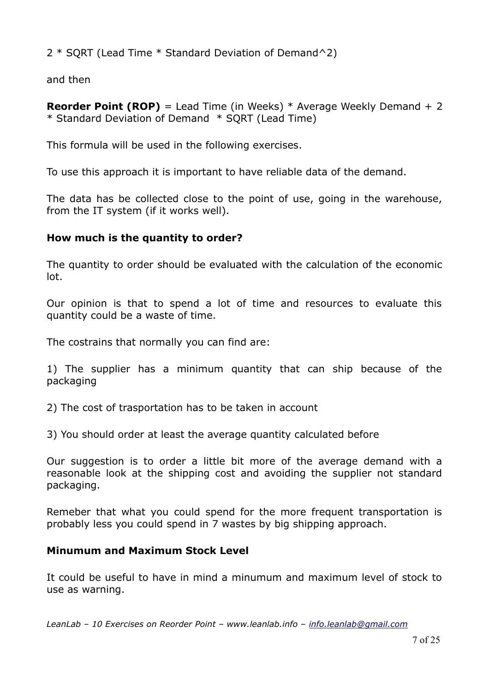2 \* SQRT (Lead Time \* Standard Deviation of Demand^2)

and then

**Reorder Point (ROP)** = Lead Time (in Weeks) \* Average Weekly Demand + 2 \* Standard Deviation of Demand \* SQRT (Lead Time)

This formula will be used in the following exercises.

To use this approach it is important to have reliable data of the demand.

The data has be collected close to the point of use, going in the warehouse, from the IT system (if it works well).

#### **How much is the quantity to order?**

The quantity to order should be evaluated with the calculation of the economic lot.

Our opinion is that to spend a lot of time and resources to evaluate this quantity could be a waste of time.

The costrains that normally you can find are:

1) The supplier has a minimum quantity that can ship because of the packaging

- 2) The cost of trasportation has to be taken in account
- 3) You should order at least the average quantity calculated before

Our suggestion is to order a little bit more of the average demand with a reasonable look at the shipping cost and avoiding the supplier not standard packaging.

Remeber that what you could spend for the more frequent transportation is probably less you could spend in 7 wastes by big shipping approach.

#### **Minumum and Maximum Stock Level**

It could be useful to have in mind a minumum and maximum level of stock to use as warning.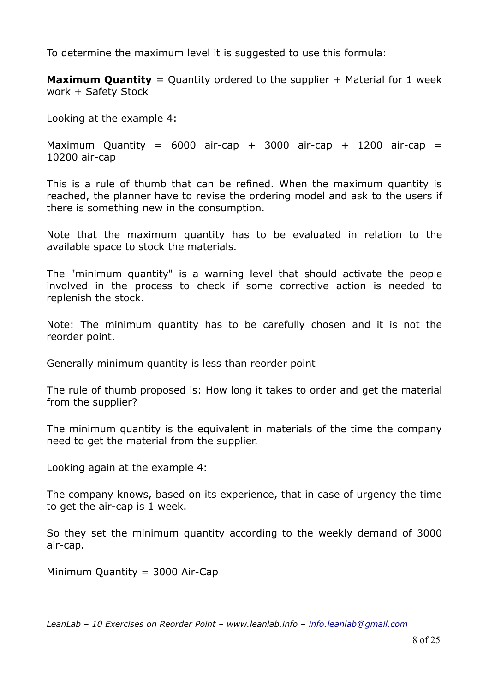To determine the maximum level it is suggested to use this formula:

**Maximum Quantity** = Quantity ordered to the supplier + Material for 1 week work + Safety Stock

Looking at the example 4:

Maximum Quantity =  $6000$  air-cap + 3000 air-cap + 1200 air-cap = 10200 air-cap

This is a rule of thumb that can be refined. When the maximum quantity is reached, the planner have to revise the ordering model and ask to the users if there is something new in the consumption.

Note that the maximum quantity has to be evaluated in relation to the available space to stock the materials.

The "minimum quantity" is a warning level that should activate the people involved in the process to check if some corrective action is needed to replenish the stock.

Note: The minimum quantity has to be carefully chosen and it is not the reorder point.

Generally minimum quantity is less than reorder point

The rule of thumb proposed is: How long it takes to order and get the material from the supplier?

The minimum quantity is the equivalent in materials of the time the company need to get the material from the supplier.

Looking again at the example 4:

The company knows, based on its experience, that in case of urgency the time to get the air-cap is 1 week.

So they set the minimum quantity according to the weekly demand of 3000 air-cap.

Minimum Quantity = 3000 Air-Cap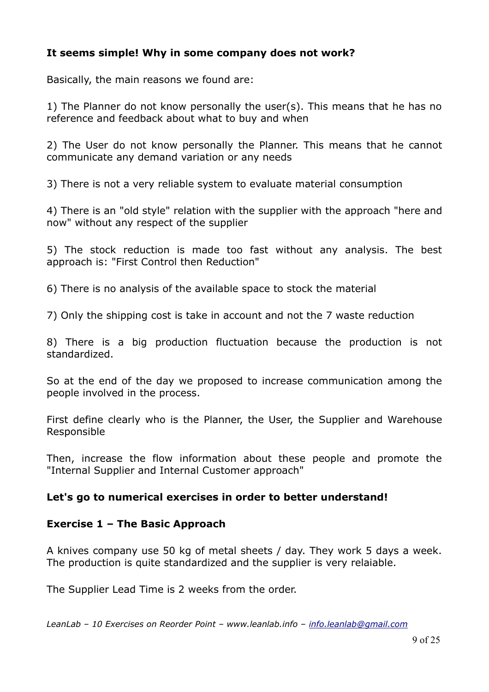# **It seems simple! Why in some company does not work?**

Basically, the main reasons we found are:

1) The Planner do not know personally the user(s). This means that he has no reference and feedback about what to buy and when

2) The User do not know personally the Planner. This means that he cannot communicate any demand variation or any needs

3) There is not a very reliable system to evaluate material consumption

4) There is an "old style" relation with the supplier with the approach "here and now" without any respect of the supplier

5) The stock reduction is made too fast without any analysis. The best approach is: "First Control then Reduction"

6) There is no analysis of the available space to stock the material

7) Only the shipping cost is take in account and not the 7 waste reduction

8) There is a big production fluctuation because the production is not standardized.

So at the end of the day we proposed to increase communication among the people involved in the process.

First define clearly who is the Planner, the User, the Supplier and Warehouse Responsible

Then, increase the flow information about these people and promote the "Internal Supplier and Internal Customer approach"

#### **Let's go to numerical exercises in order to better understand!**

#### **Exercise 1 – The Basic Approach**

A knives company use 50 kg of metal sheets / day. They work 5 days a week. The production is quite standardized and the supplier is very relaiable.

The Supplier Lead Time is 2 weeks from the order.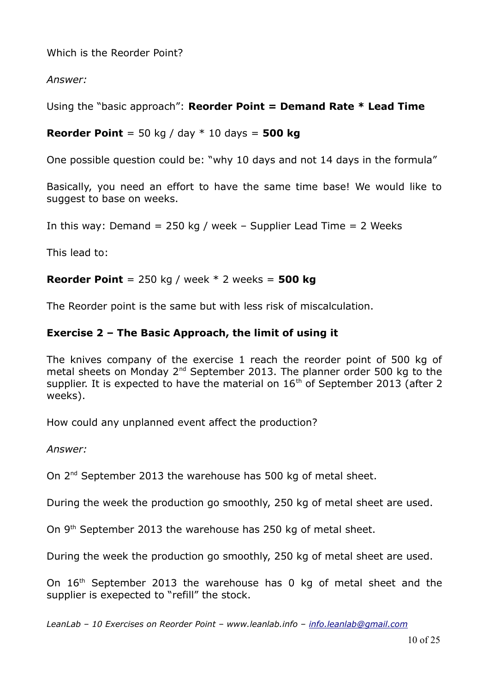Which is the Reorder Point?

*Answer:*

Using the "basic approach": **Reorder Point = Demand Rate \* Lead Time**

**Reorder Point** = 50 kg / day \* 10 days = **500 kg**

One possible question could be: "why 10 days and not 14 days in the formula"

Basically, you need an effort to have the same time base! We would like to suggest to base on weeks.

In this way: Demand =  $250$  kg / week - Supplier Lead Time =  $2$  Weeks

This lead to:

#### **Reorder Point** = 250 kg / week \* 2 weeks = **500 kg**

The Reorder point is the same but with less risk of miscalculation.

# **Exercise 2 – The Basic Approach, the limit of using it**

The knives company of the exercise 1 reach the reorder point of 500 kg of metal sheets on Monday 2<sup>nd</sup> September 2013. The planner order 500 kg to the supplier. It is expected to have the material on  $16<sup>th</sup>$  of September 2013 (after 2) weeks).

How could any unplanned event affect the production?

*Answer:*

On 2<sup>nd</sup> September 2013 the warehouse has 500 kg of metal sheet.

During the week the production go smoothly, 250 kg of metal sheet are used.

On 9<sup>th</sup> September 2013 the warehouse has 250 kg of metal sheet.

During the week the production go smoothly, 250 kg of metal sheet are used.

On 16<sup>th</sup> September 2013 the warehouse has 0 kg of metal sheet and the supplier is exepected to "refill" the stock.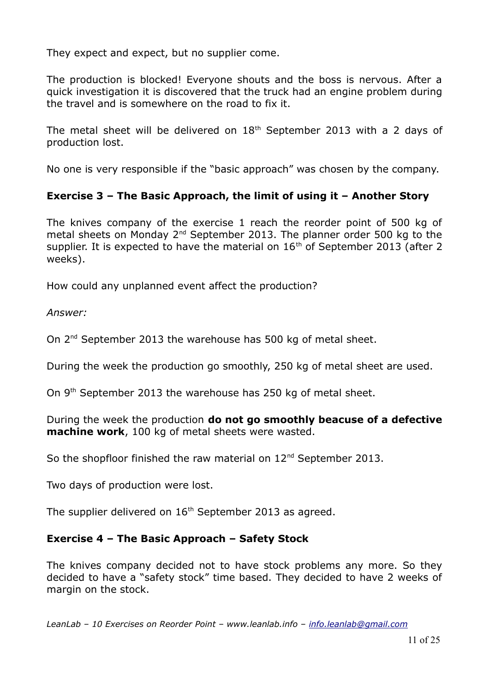They expect and expect, but no supplier come.

The production is blocked! Everyone shouts and the boss is nervous. After a quick investigation it is discovered that the truck had an engine problem during the travel and is somewhere on the road to fix it.

The metal sheet will be delivered on  $18<sup>th</sup>$  September 2013 with a 2 days of production lost.

No one is very responsible if the "basic approach" was chosen by the company.

# **Exercise 3 – The Basic Approach, the limit of using it – Another Story**

The knives company of the exercise 1 reach the reorder point of 500 kg of metal sheets on Monday  $2^{nd}$  September 2013. The planner order 500 kg to the supplier. It is expected to have the material on  $16<sup>th</sup>$  of September 2013 (after 2 weeks).

How could any unplanned event affect the production?

*Answer:*

On 2<sup>nd</sup> September 2013 the warehouse has 500 kg of metal sheet.

During the week the production go smoothly, 250 kg of metal sheet are used.

On 9<sup>th</sup> September 2013 the warehouse has 250 kg of metal sheet.

During the week the production **do not go smoothly beacuse of a defective machine work**, 100 kg of metal sheets were wasted.

So the shopfloor finished the raw material on 12<sup>nd</sup> September 2013.

Two days of production were lost.

The supplier delivered on  $16<sup>th</sup>$  September 2013 as agreed.

# **Exercise 4 – The Basic Approach – Safety Stock**

The knives company decided not to have stock problems any more. So they decided to have a "safety stock" time based. They decided to have 2 weeks of margin on the stock.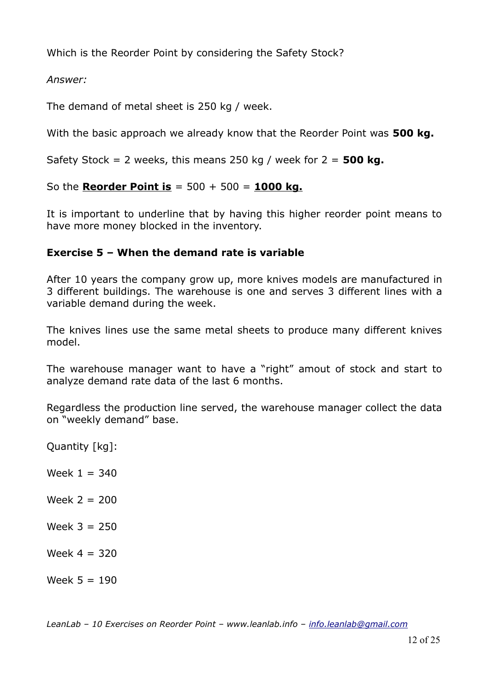Which is the Reorder Point by considering the Safety Stock?

*Answer:*

The demand of metal sheet is 250 kg / week.

With the basic approach we already know that the Reorder Point was **500 kg.**

Safety Stock = 2 weeks, this means 250 kg / week for 2 = **500 kg.** 

So the **Reorder Point is** = 500 + 500 = **1000 kg.**

It is important to underline that by having this higher reorder point means to have more money blocked in the inventory.

# **Exercise 5 – When the demand rate is variable**

After 10 years the company grow up, more knives models are manufactured in 3 different buildings. The warehouse is one and serves 3 different lines with a variable demand during the week.

The knives lines use the same metal sheets to produce many different knives model.

The warehouse manager want to have a "right" amout of stock and start to analyze demand rate data of the last 6 months.

Regardless the production line served, the warehouse manager collect the data on "weekly demand" base.

Quantity [kg]:

Week  $1 = 340$ 

 $Week 2 = 200$ 

Week  $3 = 250$ 

Week  $4 = 320$ 

Week  $5 = 190$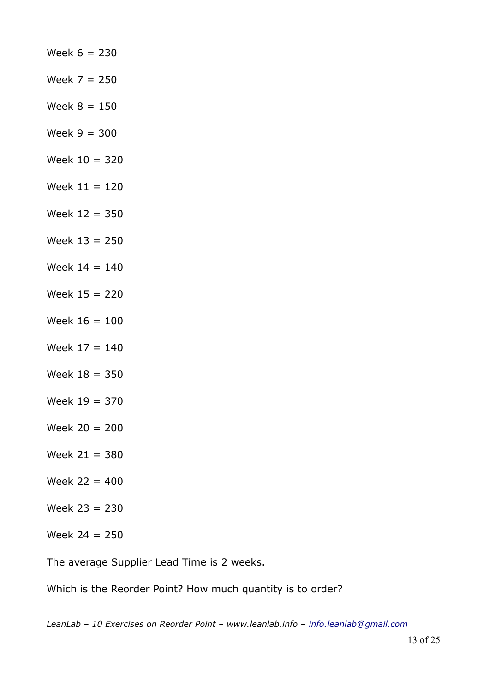| Week $6 = 230$  |
|-----------------|
| Week $7 = 250$  |
| Week $8 = 150$  |
| Week $9 = 300$  |
| Week $10 = 320$ |
| Week $11 = 120$ |
| Week $12 = 350$ |
| Week $13 = 250$ |
| Week $14 = 140$ |
| Week $15 = 220$ |
| Week $16 = 100$ |
| Week $17 = 140$ |
| Week $18 = 350$ |
| Week $19 = 370$ |
| Week $20 = 200$ |
| Week $21 = 380$ |
| Week $22 = 400$ |
| Week $23 = 230$ |
| Week $24 = 250$ |

The average Supplier Lead Time is 2 weeks.

Which is the Reorder Point? How much quantity is to order?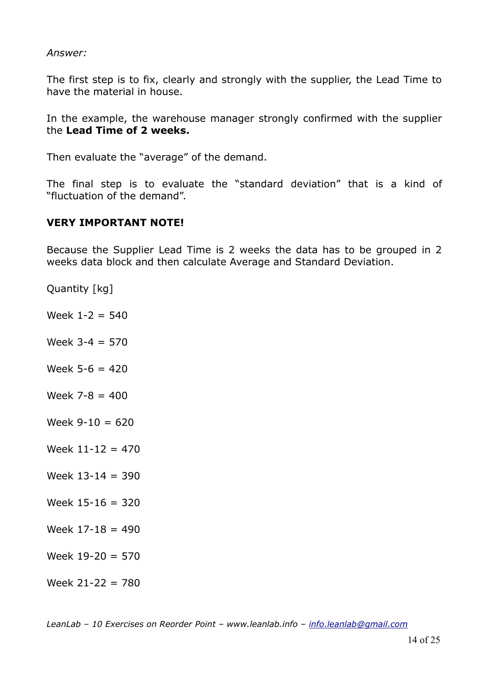#### *Answer:*

The first step is to fix, clearly and strongly with the supplier, the Lead Time to have the material in house.

In the example, the warehouse manager strongly confirmed with the supplier the **Lead Time of 2 weeks.**

Then evaluate the "average" of the demand.

The final step is to evaluate the "standard deviation" that is a kind of "fluctuation of the demand".

#### **VERY IMPORTANT NOTE!**

Because the Supplier Lead Time is 2 weeks the data has to be grouped in 2 weeks data block and then calculate Average and Standard Deviation.

Quantity [kg]

- Week  $1 2 = 540$
- Week 3-4 = 570
- Week  $5 6 = 420$
- Week  $7 8 = 400$
- $Week 9-10 = 620$
- Week  $11 12 = 470$
- Week  $13 14 = 390$
- Week  $15 16 = 320$
- Week  $17-18 = 490$
- Week  $19-20 = 570$
- Week  $21 22 = 780$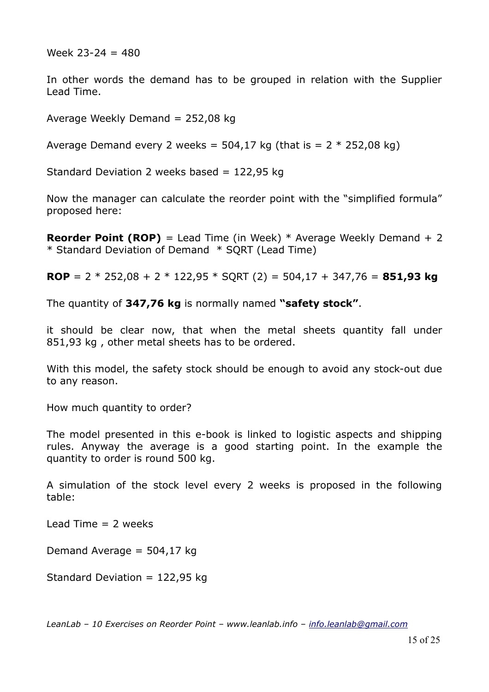Week  $23 - 24 = 480$ 

In other words the demand has to be grouped in relation with the Supplier Lead Time.

Average Weekly Demand =  $252,08$  kg

Average Demand every 2 weeks =  $504,17$  kg (that is =  $2 * 252,08$  kg)

Standard Deviation 2 weeks based = 122,95 kg

Now the manager can calculate the reorder point with the "simplified formula" proposed here:

**Reorder Point (ROP)** = Lead Time (in Week) \* Average Weekly Demand + 2 \* Standard Deviation of Demand \* SQRT (Lead Time)

**ROP** = 2 \* 252,08 + 2 \* 122,95 \* SQRT (2) = 504,17 + 347,76 = **851,93 kg**

The quantity of **347,76 kg** is normally named **"safety stock"**.

it should be clear now, that when the metal sheets quantity fall under 851,93 kg , other metal sheets has to be ordered.

With this model, the safety stock should be enough to avoid any stock-out due to any reason.

How much quantity to order?

The model presented in this e-book is linked to logistic aspects and shipping rules. Anyway the average is a good starting point. In the example the quantity to order is round 500 kg.

A simulation of the stock level every 2 weeks is proposed in the following table:

 $\text{lead Time} = 2 \text{ weeks}$ 

Demand Average  $=$  504,17 kg

Standard Deviation = 122,95 kg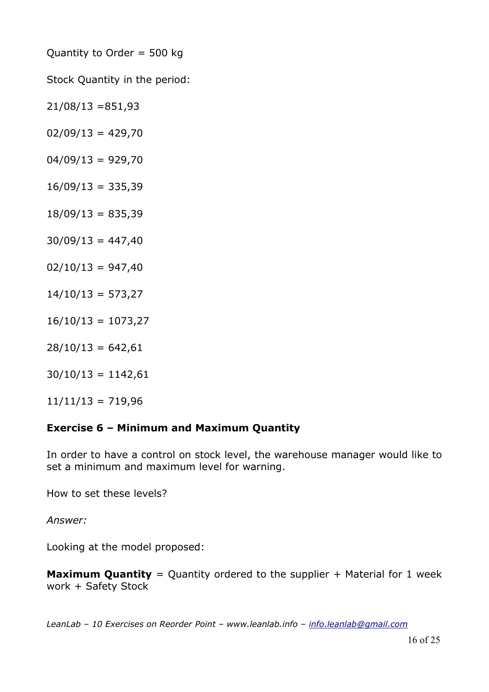Quantity to Order = 500 kg

Stock Quantity in the period:

 $21/08/13 = 851,93$ 

 $02/09/13 = 429,70$ 

 $04/09/13 = 929,70$ 

 $16/09/13 = 335,39$ 

 $18/09/13 = 835,39$ 

 $30/09/13 = 447,40$ 

 $02/10/13 = 947,40$ 

 $14/10/13 = 573,27$ 

 $16/10/13 = 1073,27$ 

 $28/10/13 = 642,61$ 

 $30/10/13 = 1142,61$ 

 $11/11/13 = 719,96$ 

# **Exercise 6 – Minimum and Maximum Quantity**

In order to have a control on stock level, the warehouse manager would like to set a minimum and maximum level for warning.

How to set these levels?

*Answer:*

Looking at the model proposed:

**Maximum Quantity** = Quantity ordered to the supplier + Material for 1 week work + Safety Stock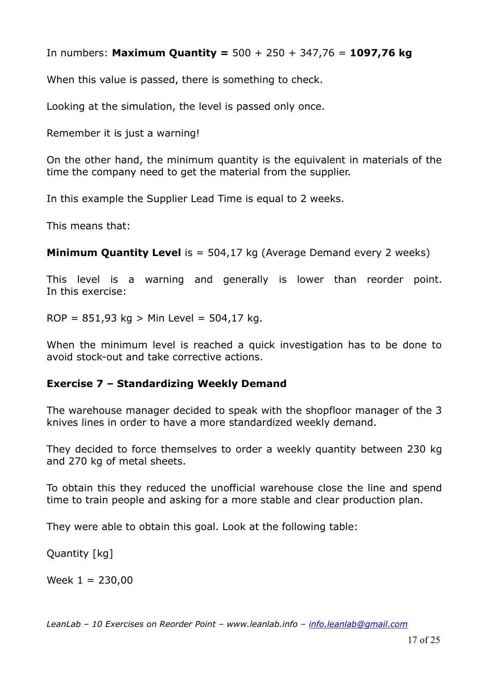In numbers: **Maximum Quantity =** 500 + 250 + 347,76 = **1097,76 kg**

When this value is passed, there is something to check.

Looking at the simulation, the level is passed only once.

Remember it is just a warning!

On the other hand, the minimum quantity is the equivalent in materials of the time the company need to get the material from the supplier.

In this example the Supplier Lead Time is equal to 2 weeks.

This means that:

**Minimum Quantity Level** is = 504,17 kg (Average Demand every 2 weeks)

This level is a warning and generally is lower than reorder point. In this exercise:

ROP =  $851,93$  kg > Min Level =  $504,17$  kg.

When the minimum level is reached a quick investigation has to be done to avoid stock-out and take corrective actions.

#### **Exercise 7 – Standardizing Weekly Demand**

The warehouse manager decided to speak with the shopfloor manager of the 3 knives lines in order to have a more standardized weekly demand.

They decided to force themselves to order a weekly quantity between 230 kg and 270 kg of metal sheets.

To obtain this they reduced the unofficial warehouse close the line and spend time to train people and asking for a more stable and clear production plan.

They were able to obtain this goal. Look at the following table:

Quantity [kg]

Week  $1 = 230,00$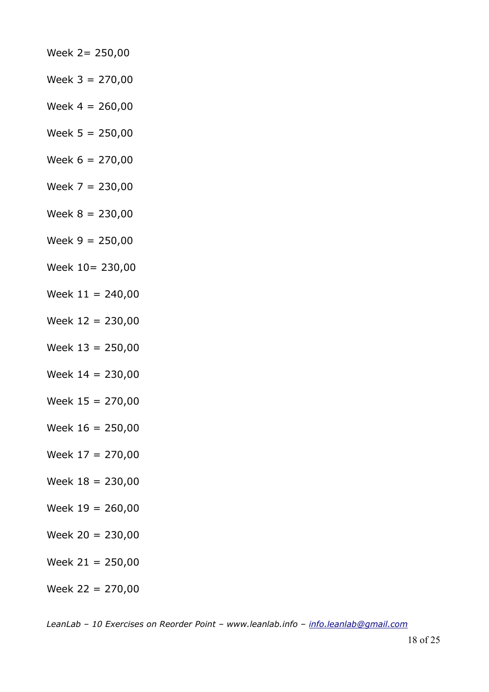- Week 2= 250,00 Week  $3 = 270,00$ Week  $4 = 260,00$ Week  $5 = 250,00$ Week  $6 = 270,00$ Week  $7 = 230,00$ Week 8 = 230,00 Week  $9 = 250,00$ Week 10= 230,00 Week  $11 = 240,00$ Week 12 = 230,00 Week  $13 = 250,00$ Week  $14 = 230,00$ Week  $15 = 270,00$ Week  $16 = 250,00$ Week 17 = 270,00 Week  $18 = 230,00$
- Week  $19 = 260,00$
- Week  $20 = 230,00$
- Week  $21 = 250,00$
- Week 22 = 270,00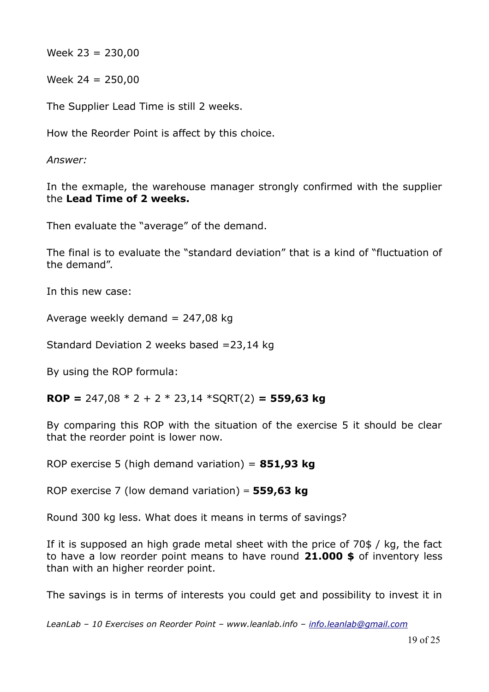Week  $23 = 230,00$ 

Week  $24 = 250,00$ 

The Supplier Lead Time is still 2 weeks.

How the Reorder Point is affect by this choice.

*Answer:*

In the exmaple, the warehouse manager strongly confirmed with the supplier the **Lead Time of 2 weeks.**

Then evaluate the "average" of the demand.

The final is to evaluate the "standard deviation" that is a kind of "fluctuation of the demand".

In this new case:

Average weekly demand  $= 247,08$  kg

Standard Deviation 2 weeks based =23,14 kg

By using the ROP formula:

**ROP =** 247,08 \* 2 + 2 \* 23,14 \*SQRT(2) **= 559,63 kg**

By comparing this ROP with the situation of the exercise 5 it should be clear that the reorder point is lower now.

ROP exercise 5 (high demand variation) = **851,93 kg**

ROP exercise 7 (low demand variation) **= 559,63 kg**

Round 300 kg less. What does it means in terms of savings?

If it is supposed an high grade metal sheet with the price of 70\$ / kg, the fact to have a low reorder point means to have round **21.000 \$** of inventory less than with an higher reorder point.

The savings is in terms of interests you could get and possibility to invest it in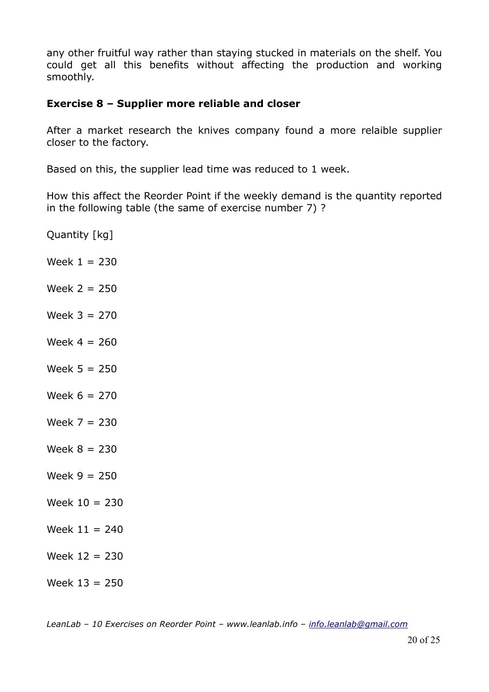any other fruitful way rather than staying stucked in materials on the shelf. You could get all this benefits without affecting the production and working smoothly.

#### **Exercise 8 – Supplier more reliable and closer**

After a market research the knives company found a more relaible supplier closer to the factory.

Based on this, the supplier lead time was reduced to 1 week.

How this affect the Reorder Point if the weekly demand is the quantity reported in the following table (the same of exercise number 7) ?

Quantity [kg]

- Week  $1 = 230$
- Week  $2 = 250$
- Week 3 = 270
- Week  $4 = 260$
- Week  $5 = 250$
- Week 6 = 270
- $Week 7 = 230$
- Week  $8 = 230$
- Week  $9 = 250$
- Week  $10 = 230$
- $Week 11 = 240$
- Week 12 = 230
- Week 13 = 250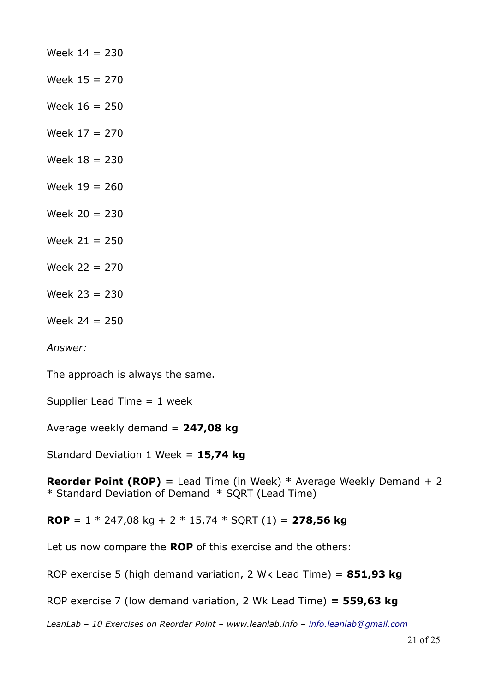Week  $14 = 230$ Week 15 = 270 Week 16 = 250 Week 17 = 270 Week  $18 = 230$ Week  $19 = 260$ Week 20 = 230 Week  $21 = 250$ Week 22 = 270 Week 23 = 230 Week 24 = 250

*Answer:*

The approach is always the same.

Supplier Lead Time  $= 1$  week

Average weekly demand = **247,08 kg**

Standard Deviation 1 Week = **15,74 kg**

**Reorder Point (ROP) =** Lead Time (in Week) \* Average Weekly Demand + 2 \* Standard Deviation of Demand \* SQRT (Lead Time)

**ROP** = 1 \* 247,08 kg + 2 \* 15,74 \* SQRT (1) = **278,56 kg**

Let us now compare the **ROP** of this exercise and the others:

ROP exercise 5 (high demand variation, 2 Wk Lead Time) = **851,93 kg**

ROP exercise 7 (low demand variation, 2 Wk Lead Time) **= 559,63 kg**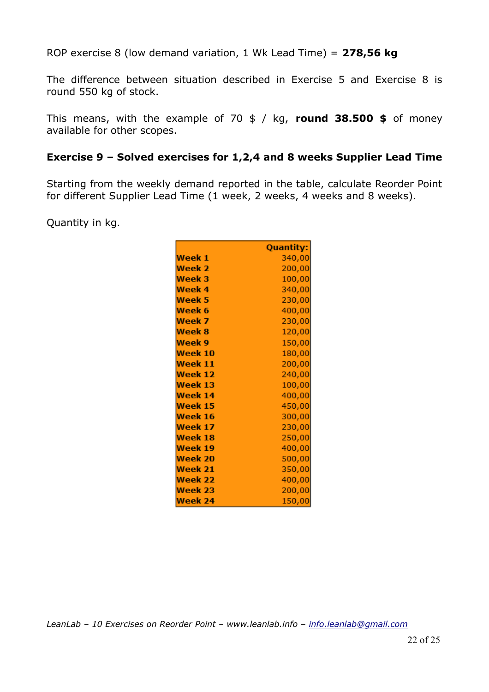ROP exercise 8 (low demand variation, 1 Wk Lead Time) = **278,56 kg**

The difference between situation described in Exercise 5 and Exercise 8 is round 550 kg of stock.

This means, with the example of 70 \$ / kg, **round 38.500 \$** of money available for other scopes.

#### **Exercise 9 – Solved exercises for 1,2,4 and 8 weeks Supplier Lead Time**

Starting from the weekly demand reported in the table, calculate Reorder Point for different Supplier Lead Time (1 week, 2 weeks, 4 weeks and 8 weeks).

Quantity in kg.

|                   | <b>Quantity:</b> |
|-------------------|------------------|
| Week 1            | 340,00           |
| Week 2            | 200,00           |
| Week 3            | 100,00           |
| Week 4            | 340,00           |
| Week 5            | 230,00           |
| Week 6            | 400,00           |
| Week 7            | 230,00           |
| Week <sub>8</sub> | 120,00           |
| Week 9            | 150,00           |
| Week 10           | 180,00           |
| Week 11           | 200,00           |
| Week 12           | 240,00           |
| Week 13           | 100,00           |
| Week 14           | 400,00           |
| Week 15           | 450,00           |
| Week 16           | 300,00           |
| Week 17           | 230,00           |
| Week 18           | 250,00           |
| Week 19           | 400,00           |
| Week 20           | 500,00           |
| Week 21           | 350,00           |
| Week 22           | 400,00           |
| Week 23           | 200,00           |
| Week 24           | 150,00           |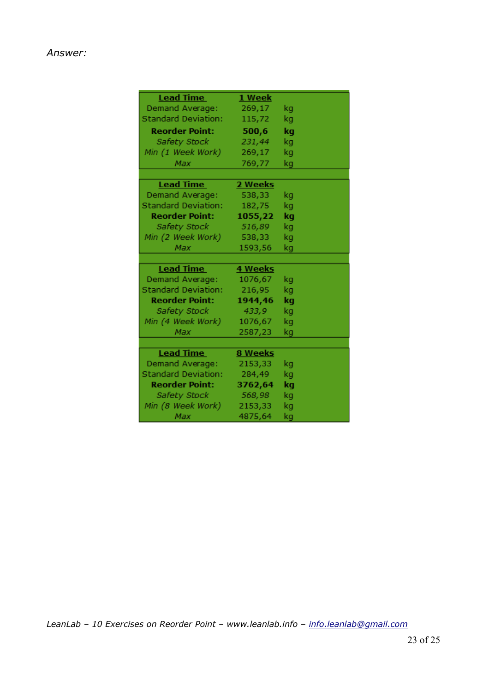#### *Answer:*

| <b>Lead Time</b>           | 1 Week  |    |
|----------------------------|---------|----|
| Demand Average:            | 269,17  | kg |
| <b>Standard Deviation:</b> | 115,72  | kg |
| <b>Reorder Point:</b>      | 500,6   | kg |
| Safety Stock               | 231,44  | kg |
| Min (1 Week Work)          | 269,17  | kg |
| Max                        | 769,77  | kg |
|                            |         |    |
| <b>Lead Time</b>           | 2 Weeks |    |
| Demand Average:            | 538,33  | kg |
| <b>Standard Deviation:</b> | 182,75  | kg |
| <b>Reorder Point:</b>      | 1055,22 | kg |
| Safety Stock               | 516,89  | kg |
| Min (2 Week Work)          | 538,33  | kg |
| Max                        | 1593,56 | kg |
|                            |         |    |
| <b>Lead Time</b>           | 4 Weeks |    |
| Demand Average:            | 1076,67 | kg |
| <b>Standard Deviation:</b> | 216,95  | kg |
| <b>Reorder Point:</b>      | 1944,46 | kg |
| Safety Stock               | 433,9   | kg |
| Min (4 Week Work)          | 1076,67 | kg |
| Max                        | 2587,23 | kg |
|                            |         |    |
| <b>Lead Time</b>           | 8 Weeks |    |
| Demand Average:            | 2153,33 | kg |
| <b>Standard Deviation:</b> | 284,49  | kg |
| <b>Reorder Point:</b>      | 3762,64 | kg |
| Safety Stock               | 568,98  | kg |
| Min (8 Week Work)          | 2153,33 | kg |
| Max                        | 4875,64 | kg |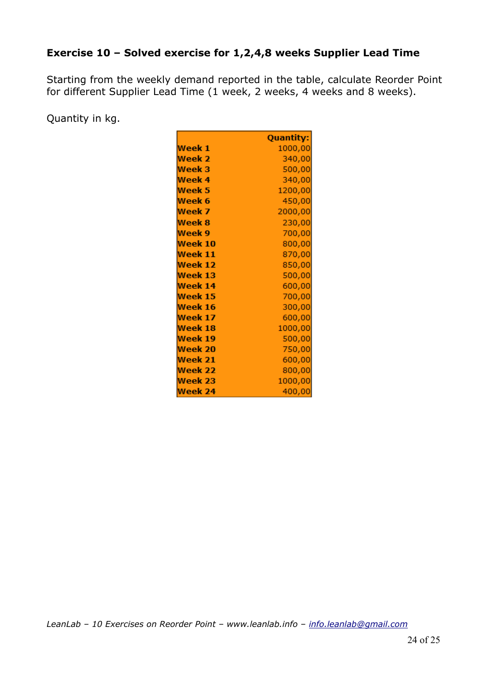# **Exercise 10 – Solved exercise for 1,2,4,8 weeks Supplier Lead Time**

Starting from the weekly demand reported in the table, calculate Reorder Point for different Supplier Lead Time (1 week, 2 weeks, 4 weeks and 8 weeks).

Quantity in kg.

|         | Quantity: |
|---------|-----------|
| Week 1  | 1000,00   |
| Week 2  | 340,00    |
| Week 3  | 500,00    |
| Week 4  | 340,00    |
| Week 5  | 1200,00   |
| Week 6  | 450,00    |
| Week 7  | 2000,00   |
| Week 8  | 230,00    |
| Week 9  | 700,00    |
| Week 10 | 800,00    |
| Week 11 | 870,00    |
| Week 12 | 850,00    |
| Week 13 | 500,00    |
| Week 14 | 600,00    |
| Week 15 | 700,00    |
| Week 16 | 300,00    |
| Week 17 | 600,00    |
| Week 18 | 1000,00   |
| Week 19 | 500,00    |
| Week 20 | 750,00    |
| Week 21 | 600,00    |
| Week 22 | 800,00    |
| Week 23 | 1000,00   |
| Week 24 | 400,00    |